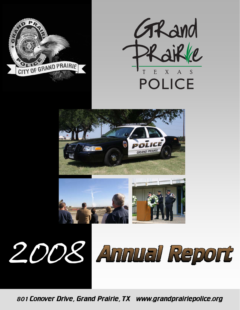











801 Conover Drive, Grand Prairie, TX www.grandprairiepolice.org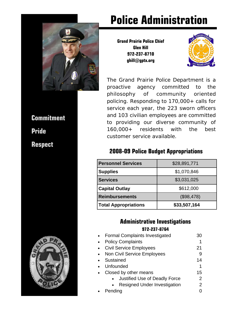

# **Commitment Pride**

**Respect** 



# **Police Administration**

**Grand Prairie Police Chief Glen Hill 972-237-8710 ghill@gptx.org** 



The Grand Prairie Police Department is a proactive agency committed to the philosophy of community oriented policing. Responding to 170,000+ calls for service each year, the 223 sworn officers and 103 civilian employees are committed to providing our diverse community of 160,000+ residents with the best customer service available.

### **2008-09 Police Budget Appropriations**

| <b>Personnel Services</b>   | \$28,891,771 |
|-----------------------------|--------------|
| <b>Supplies</b>             | \$1,070,846  |
| <b>Services</b>             | \$3,031,025  |
| <b>Capital Outlay</b>       | \$612,000    |
| <b>Reimbursements</b>       | (\$98,478)   |
| <b>Total Appropriations</b> | \$33,507,164 |

### **Administrative Investigations 972-237-8764**

| <b>Formal Complaints Investigated</b> | 30 |
|---------------------------------------|----|
| <b>Policy Complaints</b>              | 1  |
| <b>Civil Service Employees</b>        | 21 |
| Non Civil Service Employees           | 9  |
| Sustained                             | 14 |
| Unfounded                             | 1  |
| Closed by other means                 | 15 |
| Justified Use of Deadly Force         | 2  |
| <b>Resigned Under Investigation</b>   |    |
| Pending                               |    |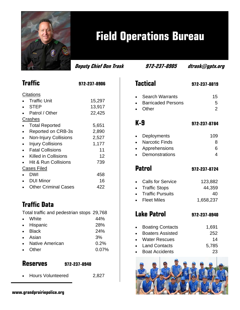

# **Field Operations Bureau**

| <b>Traffic</b>                  | 972-237-8906 |
|---------------------------------|--------------|
| Citations                       |              |
| <b>Traffic Unit</b>             | 15,297       |
| <b>STEP</b>                     | 13,917       |
| Patrol / Other                  | 22,425       |
| <u>Crashes</u>                  |              |
| <b>Total Reported</b>           | 5,651        |
| Reported on CRB-3s              | 2,890        |
| <b>Non-Injury Collisions</b>    | 2,527        |
| <b>Injury Collisions</b>        | 1,177        |
| <b>Fatal Collisions</b>         | 11           |
| Killed in Collisions            | 12           |
| <b>Hit &amp; Run Collisions</b> | 739          |
| Cases Filed                     |              |
| <b>DWI</b>                      | 458          |
| <b>DUI Minor</b>                | 16           |
| <b>Other Criminal Cases</b>     | 422          |

# **Traffic Data**

Total traffic and pedestrian stops 29,768

- White 44%
- Hispanic 28% • Black 24%
- Asian 3%
- Native American **0.2%**
- Other 0.07%

## **Reserves 972-237-8940**

• Hours Volunteered 2,827

**Deputy Chief Don Trask 972-237-8905 dtrask@gptx.org** 

# **Tactical 972-237-8819** • Search Warrants 15 **Barricaded Persons** 5

Other 2

### **K-9 972-237-8784**

| • Deployments    | 109 |
|------------------|-----|
| • Narcotic Finds | 8   |
| • Apprehensions  | Ⴌ   |
|                  |     |

**Demonstrations** 4

**Patrol 972-237-8724** 

| • Calls for Service | 123,882   |
|---------------------|-----------|
| • Traffic Stops     | 44,359    |
| • Traffic Pursuits  | 40        |
| • Fleet Miles       | 1,658,237 |
|                     |           |

# **Lake Patrol 972-237-8940**

| • Boating Contacts | 1,691 |
|--------------------|-------|
| • Boaters Assisted | 252   |
| • Water Rescues    | 14    |
| عدمدمدما اممما     | E 70E |

- Land Contacts 5,785
- Boat Accidents 23

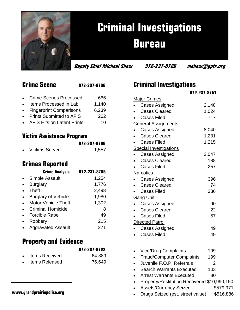

# **Criminal Investigations Bureau**

**Deputy Chief Michael Shaw 972-237-8726 mshaw@gptx.org** 

| <b>Crime Scene</b> | 972-237-8736 |
|--------------------|--------------|
|                    |              |

Crime Scenes Processed 666

- Items Processed in Lab 1.140
- Fingerprint Comparisons 6,239
- Prints Submitted to AFIS 262
- AFIS Hits on Latent Prints 10

### **Victim Assistance Program**

|           |                       | 972-237-8796 |
|-----------|-----------------------|--------------|
| $\bullet$ | <b>Victims Served</b> | 1,557        |

## **Crimes Reported**

| <b>Crime Analysis</b>      | 972-237-8785 |
|----------------------------|--------------|
| <b>Simple Assault</b>      | 1,254        |
| <b>Burglary</b>            | 1,776        |
| <b>Theft</b>               | 2,498        |
| <b>Burglary of Vehicle</b> | 1,980        |
| <b>Motor Vehicle Theft</b> | 1,302        |
| <b>Criminal Homicide</b>   | 8            |
| <b>Forcible Rape</b>       | 49           |
| Robbery                    | 215          |
| <b>Aggravated Assault</b>  | 271          |
|                            |              |

## **Property and Evidence**

|                | 972-237-8722 |
|----------------|--------------|
| Items Received | 64 389       |

|           | 1001110 100001700     | $\sim$ $\sim$ $\sim$ |
|-----------|-----------------------|----------------------|
| $\bullet$ | <b>Items Released</b> | 76,649               |

|                     | 972-237-8751 |
|---------------------|--------------|
| <b>Major Crimes</b> |              |

**Criminal Investigations** 

|                               | <b>Cases Assigned</b> | 2,148 |
|-------------------------------|-----------------------|-------|
|                               | <b>Cases Cleared</b>  | 1,024 |
|                               |                       |       |
|                               | <b>Cases Filed</b>    | 717   |
| <b>General Assignments</b>    |                       |       |
|                               | <b>Cases Assigned</b> | 8,040 |
|                               | <b>Cases Cleared</b>  | 1,231 |
|                               | <b>Cases Filed</b>    | 1,215 |
| <b>Special Investigations</b> |                       |       |
|                               | <b>Cases Assigned</b> | 2,047 |
|                               | <b>Cases Cleared</b>  | 188   |
|                               | <b>Cases Filed</b>    | 257   |
| <b>Narcotics</b>              |                       |       |
|                               | Cases Assigned        | 396   |
|                               | <b>Cases Cleared</b>  | 74    |
|                               | <b>Cases Filed</b>    | 336   |
| <b>Gang Unit</b>              |                       |       |
|                               | <b>Cases Assigned</b> | 90    |
|                               | <b>Cases Cleared</b>  | 22    |
|                               | <b>Cases Filed</b>    | 57    |
| <b>Directed Patrol</b>        |                       |       |
|                               | Cases Assigned        | 49    |
|                               | Cases Filed           | 49    |

- 
- Vice/Drug Complaints 199
- Fraud/Computer Complaints 199
- Juvenile F.O.P. Referrals 2
- Search Warrants Executed 103
- Arrest Warrants Executed 80
- Property/Restitution Recovered \$10,990,150
- Assets/Currency Seized \$579,971
- **www.grandprairiepolice.org**  Drugs Seized (est. street value) \$516,886